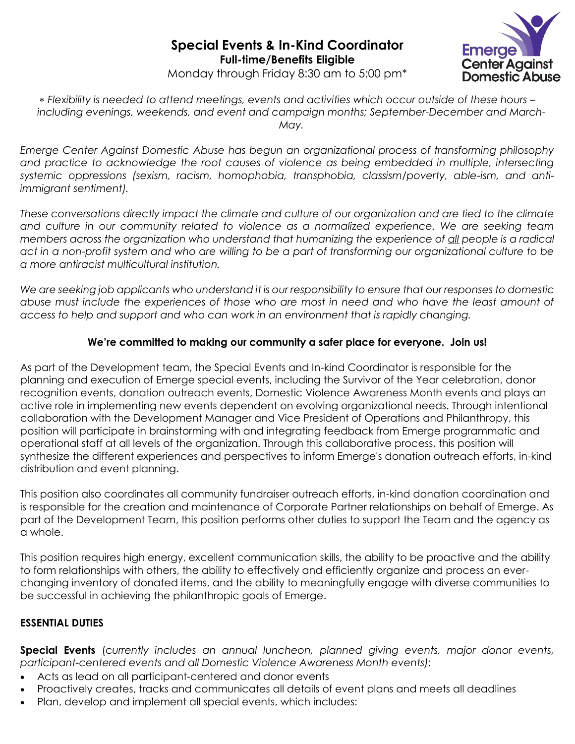

Monday through Friday 8:30 am to 5:00 pm\*

 *Flexibility is needed to attend meetings, events and activities which occur outside of these hours – including evenings, weekends, and event and campaign months; September-December and March-May.*

*Emerge Center Against Domestic Abuse has begun an organizational process of transforming philosophy*  and practice to acknowledge the root causes of violence as being embedded in multiple, intersecting *systemic oppressions (sexism, racism, homophobia, transphobia, classism/poverty, able-ism, and antiimmigrant sentiment).*

*These conversations directly impact the climate and culture of our organization and are tied to the climate and culture in our community related to violence as a normalized experience. We are seeking team members across the organization who understand that humanizing the experience of all people is a radical act in a non-profit system and who are willing to be a part of transforming our organizational culture to be a more antiracist multicultural institution.* 

*We are seeking job applicants who understand it is our responsibility to ensure that our responses to domestic abuse must include the experiences of those who are most in need and who have the least amount of access to help and support and who can work in an environment that is rapidly changing.* 

# **We're committed to making our community a safer place for everyone. Join us!**

As part of the Development team, the Special Events and In-kind Coordinator is responsible for the planning and execution of Emerge special events, including the Survivor of the Year celebration, donor recognition events, donation outreach events, Domestic Violence Awareness Month events and plays an active role in implementing new events dependent on evolving organizational needs. Through intentional collaboration with the Development Manager and Vice President of Operations and Philanthropy, this position will participate in brainstorming with and integrating feedback from Emerge programmatic and operational staff at all levels of the organization. Through this collaborative process, this position will synthesize the different experiences and perspectives to inform Emerge's donation outreach efforts, in-kind distribution and event planning.

This position also coordinates all community fundraiser outreach efforts, in-kind donation coordination and is responsible for the creation and maintenance of Corporate Partner relationships on behalf of Emerge. As part of the Development Team, this position performs other duties to support the Team and the agency as a whole.

This position requires high energy, excellent communication skills, the ability to be proactive and the ability to form relationships with others, the ability to effectively and efficiently organize and process an everchanging inventory of donated items, and the ability to meaningfully engage with diverse communities to be successful in achieving the philanthropic goals of Emerge.

# **ESSENTIAL DUTIES**

**Special Events** (c*urrently includes an annual luncheon, planned giving events, major donor events, participant-centered events and all Domestic Violence Awareness Month events)*:

- Acts as lead on all participant-centered and donor events
- Proactively creates, tracks and communicates all details of event plans and meets all deadlines
- Plan, develop and implement all special events, which includes: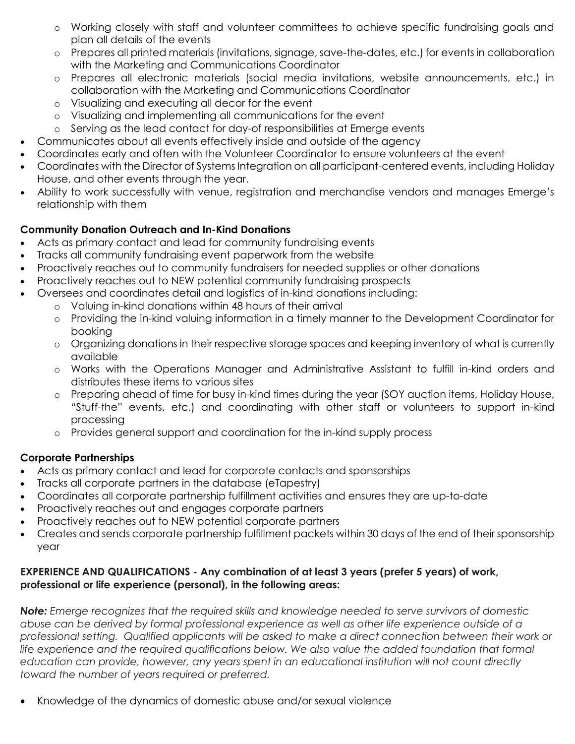- o Working closely with staff and volunteer committees to achieve specific fundraising goals and plan all details of the events
- o Prepares all printed materials (invitations, signage, save-the-dates, etc.) for events in collaboration with the Marketing and Communications Coordinator
- o Prepares all electronic materials (social media invitations, website announcements, etc.) in collaboration with the Marketing and Communications Coordinator
- o Visualizing and executing all decor for the event
- o Visualizing and implementing all communications for the event
- o Serving as the lead contact for day-of responsibilities at Emerge events
- Communicates about all events effectively inside and outside of the agency
- Coordinates early and often with the Volunteer Coordinator to ensure volunteers at the event
- Coordinates with the Director of Systems Integration on all participant-centered events, including Holiday House, and other events through the year.
- Ability to work successfully with venue, registration and merchandise vendors and manages Emerge's relationship with them

# **Community Donation Outreach and In-Kind Donations**

- Acts as primary contact and lead for community fundraising events
- Tracks all community fundraising event paperwork from the website
- Proactively reaches out to community fundraisers for needed supplies or other donations
- Proactively reaches out to NEW potential community fundraising prospects
- Oversees and coordinates detail and logistics of in-kind donations including:
	- o Valuing in-kind donations within 48 hours of their arrival
	- o Providing the in-kind valuing information in a timely manner to the Development Coordinator for booking
	- o Organizing donations in their respective storage spaces and keeping inventory of what is currently available
	- o Works with the Operations Manager and Administrative Assistant to fulfill in-kind orders and distributes these items to various sites
	- o Preparing ahead of time for busy in-kind times during the year (SOY auction items, Holiday House, "Stuff-the" events, etc.) and coordinating with other staff or volunteers to support in-kind processing
	- o Provides general support and coordination for the in-kind supply process

# **Corporate Partnerships**

- Acts as primary contact and lead for corporate contacts and sponsorships
- Tracks all corporate partners in the database (eTapestry)
- Coordinates all corporate partnership fulfillment activities and ensures they are up-to-date
- Proactively reaches out and engages corporate partners
- Proactively reaches out to NEW potential corporate partners
- Creates and sends corporate partnership fulfillment packets within 30 days of the end of their sponsorship year

### **EXPERIENCE AND QUALIFICATIONS - Any combination of at least 3 years (prefer 5 years) of work, professional or life experience (personal), in the following areas:**

*Note: Emerge recognizes that the required skills and knowledge needed to serve survivors of domestic abuse can be derived by formal professional experience as well as other life experience outside of a professional setting. Qualified applicants will be asked to make a direct connection between their work or life experience and the required qualifications below. We also value the added foundation that formal education can provide, however, any years spent in an educational institution will not count directly toward the number of years required or preferred.*

Knowledge of the dynamics of domestic abuse and/or sexual violence